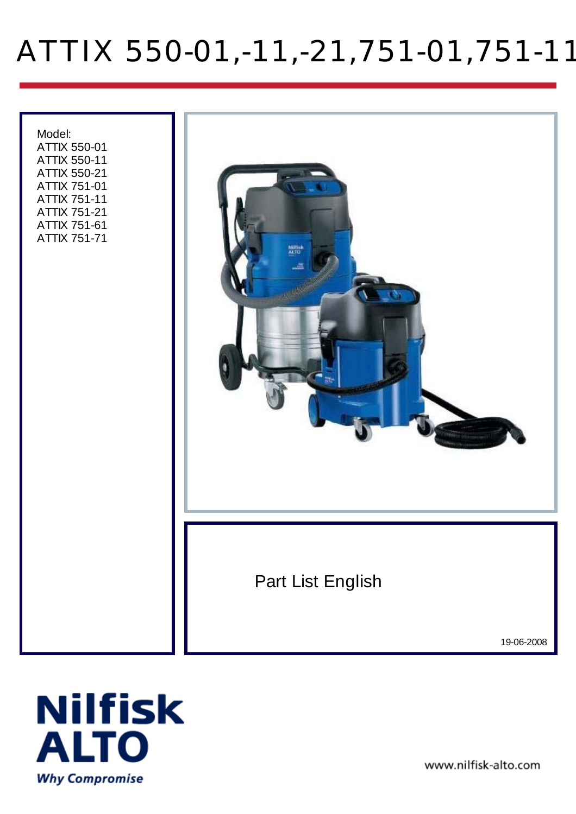# ATTIX 550-01,-11,-21,751-01,751-11

 Model: ATTIX 550-01 ATTIX 550-11 ATTIX 550-21 ATTIX 751-01 ATTIX 751-11 ATTIX 751-21 ATTIX 751-61 ATTIX 751-71 NUE)<br>ALTE Part List English 19-06-2008



www.nilfisk-alto.com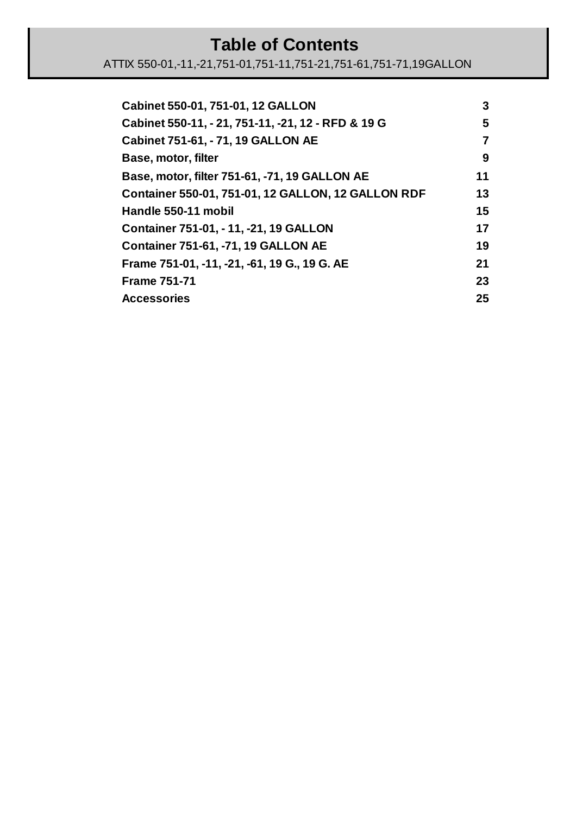#### **Table of Contents**

| Cabinet 550-01, 751-01, 12 GALLON                  | 3  |
|----------------------------------------------------|----|
| Cabinet 550-11, - 21, 751-11, -21, 12 - RFD & 19 G | 5  |
| Cabinet 751-61, - 71, 19 GALLON AE                 | 7  |
| Base, motor, filter                                | 9  |
| Base, motor, filter 751-61, -71, 19 GALLON AE      | 11 |
| Container 550-01, 751-01, 12 GALLON, 12 GALLON RDF | 13 |
| Handle 550-11 mobil                                | 15 |
| Container 751-01, - 11, -21, 19 GALLON             | 17 |
| <b>Container 751-61, -71, 19 GALLON AE</b>         | 19 |
| Frame 751-01, -11, -21, -61, 19 G., 19 G. AE       | 21 |
| <b>Frame 751-71</b>                                | 23 |
| <b>Accessories</b>                                 | 25 |
|                                                    |    |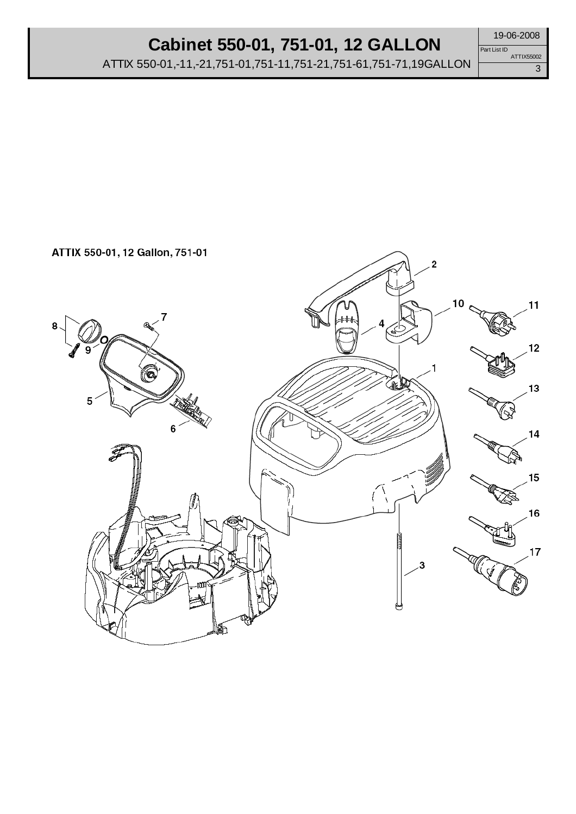#### **Cabinet 550-01, 751-01, 12 GALLON**

ATTIX 550-01,-11,-21,751-01,751-11,751-21,751-61,751-71,19GALLON

3 Part List ID ATTIX55002

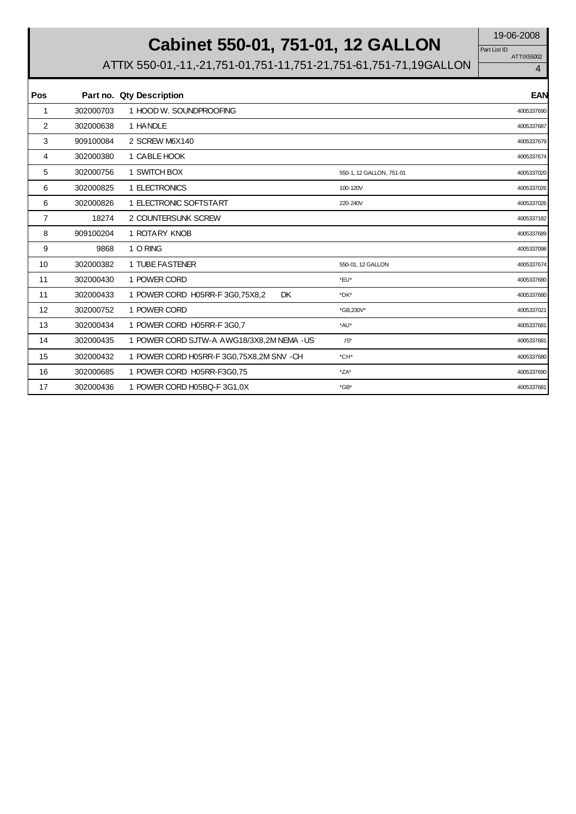# **Cabinet 550-01, 751-01, 12 GALLON** 19-06-2008

ATTIX55002 Part List ID

| Pos            |           | Part no. Qty Description                     |                          | <b>EAN</b> |
|----------------|-----------|----------------------------------------------|--------------------------|------------|
| 1              | 302000703 | 1 HOOD W. SOUNDPROOFING                      |                          | 4005337690 |
| 2              | 302000638 | 1 HANDLE                                     |                          | 4005337687 |
| 3              | 909100084 | 2 SCREW M6X140                               |                          | 4005337679 |
| 4              | 302000380 | 1 CABLE HOOK                                 |                          | 4005337674 |
| 5              | 302000756 | 1 SWITCH BOX                                 | 550-1, 12 GALLON, 751-01 | 4005337020 |
| 6              | 302000825 | 1 ELECTRONICS                                | 100-120V                 | 4005337026 |
| 6              | 302000826 | 1 ELECTRONIC SOFTSTART                       | 220-240V                 | 4005337026 |
| $\overline{7}$ | 18274     | 2 COUNTERSUNK SCREW                          |                          | 4005337182 |
| 8              | 909100204 | 1 ROTARY KNOB                                |                          | 4005337689 |
| 9              | 9868      | 1 O RING                                     |                          | 4005337098 |
| 10             | 302000382 | 1 TUBE FASTENER                              | 550-01, 12 GALLON        | 4005337674 |
| 11             | 302000430 | 1 POWER CORD                                 | *EU*                     | 4005337680 |
| 11             | 302000433 | <b>DK</b><br>1 POWER CORD H05RR-F 3G0,75X8,2 | *DK*                     | 4005337680 |
| 12             | 302000752 | 1 POWER CORD                                 | *GB,230V*                | 4005337021 |
| 13             | 302000434 | 1 POWER CORD H05RR-F3G0.7                    | *AU*                     | 4005337681 |
| 14             | 302000435 | 1 POWER CORD SJTW-A AWG18/3X8,2M NEMA - US   | JS*                      | 4005337681 |
| 15             | 302000432 | 1 POWER CORD H05RR-F 3G0,75X8,2M SNV - CH    | *CH*                     | 4005337680 |
| 16             | 302000685 | 1 POWER CORD H05RR-F3G0,75                   | $*ZA*$                   | 4005337690 |
| 17             | 302000436 | 1 POWER CORD H05BQ-F 3G1,0X                  | $*$ GB*                  | 4005337681 |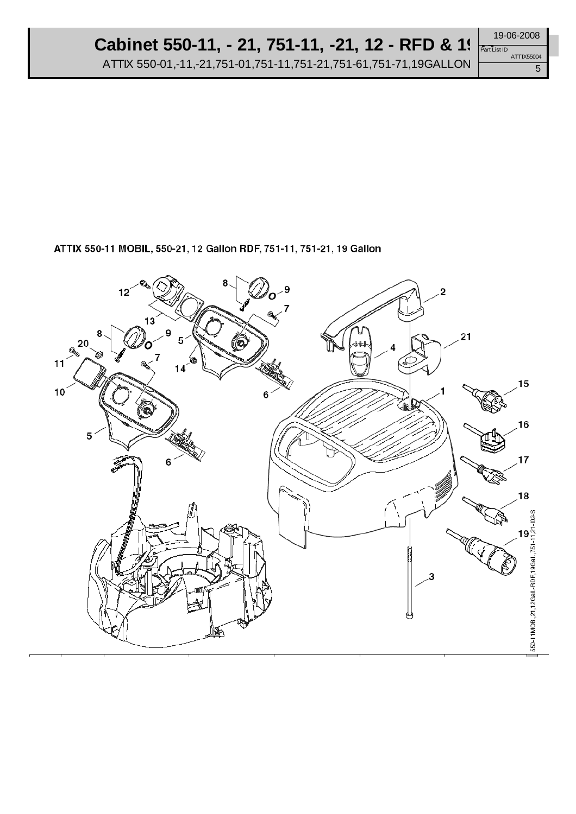5 Part List ID ATTIX55004

#### ATTIX 550-11 MOBIL, 550-21, 12 Gallon RDF, 751-11, 751-21, 19 Gallon

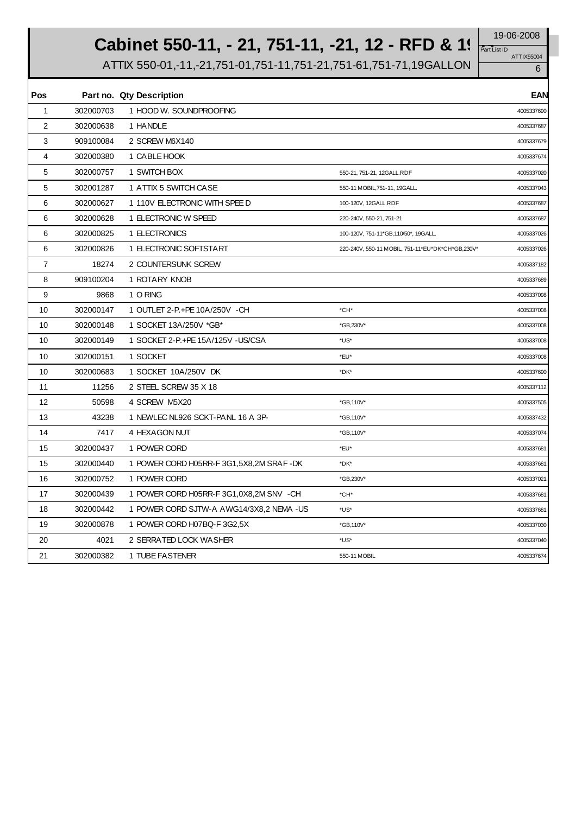# **Cabinet 550-11, - 21, 751-11, -21, 12 - RFD & 1**! Part List ID

ATTIX55004 Part List ID

|  | AT LIA33004 |
|--|-------------|
|  |             |

| <b>Pos</b>     |           | Part no. Qty Description                 |                                                  | <b>EAN</b> |
|----------------|-----------|------------------------------------------|--------------------------------------------------|------------|
| $\mathbf{1}$   | 302000703 | 1 HOOD W. SOUNDPROOFING                  |                                                  | 4005337690 |
| 2              | 302000638 | 1 HANDLE                                 |                                                  | 4005337687 |
| 3              | 909100084 | 2 SCREW M6X140                           |                                                  | 4005337679 |
| 4              | 302000380 | 1 CABLE HOOK                             |                                                  | 4005337674 |
| 5              | 302000757 | 1 SWITCH BOX                             | 550-21, 751-21, 12GALL.RDF                       | 4005337020 |
| 5              | 302001287 | 1 ATTIX 5 SWITCH CASE                    | 550-11 MOBIL, 751-11, 19GALL.                    | 4005337043 |
| 6              | 302000627 | 1 110V ELECTRONIC WITH SPEE D            | 100-120V, 12GALL.RDF                             | 4005337687 |
| 6              | 302000628 | 1 ELECTRONIC W SPEED                     | 220-240V, 550-21, 751-21                         | 4005337687 |
| 6              | 302000825 | 1 ELECTRONICS                            | 100-120V, 751-11*GB, 110/50*, 19GALL.            | 4005337026 |
| 6              | 302000826 | 1 ELECTRONIC SOFTSTART                   | 220-240V, 550-11 MOBIL, 751-11*EU*DK*CH*GB,230V* | 4005337026 |
| $\overline{7}$ | 18274     | 2 COUNTERSUNK SCREW                      |                                                  | 4005337182 |
| 8              | 909100204 | 1 ROTARY KNOB                            |                                                  | 4005337689 |
| 9              | 9868      | 1 O RING                                 |                                                  | 4005337098 |
| 10             | 302000147 | 1 OUTLET 2-P.+PE 10A/250V -CH            | *CH*                                             | 4005337008 |
| 10             | 302000148 | 1 SOCKET 13A/250V *GB*                   | *GB,230V*                                        | 4005337008 |
| 10             | 302000149 | 1 SOCKET 2-P.+PE 15A/125V - US/CSA       | *US*                                             | 4005337008 |
| 10             | 302000151 | 1 SOCKET                                 | *EU*                                             | 4005337008 |
| 10             | 302000683 | 1 SOCKET 10A/250V DK                     | *DK*                                             | 4005337690 |
| 11             | 11256     | 2 STEEL SCREW 35 X 18                    |                                                  | 4005337112 |
| 12             | 50598     | 4 SCREW M5X20                            | *GB,110V*                                        | 4005337505 |
| 13             | 43238     | 1 NEWLEC NL926 SCKT-PANL 16 A 3P-        | *GB,110V*                                        | 4005337432 |
| 14             | 7417      | 4 HEXAGON NUT                            | *GB,110V*                                        | 4005337074 |
| 15             | 302000437 | 1 POWER CORD                             | *EU*                                             | 4005337681 |
| 15             | 302000440 | 1 POWER CORD H05RR-F 3G1,5X8,2M SRAF-DK  | *DK*                                             | 4005337681 |
| 16             | 302000752 | 1 POWER CORD                             | *GB,230V*                                        | 4005337021 |
| 17             | 302000439 | 1 POWER CORD H05RR-F 3G1,0X8,2M SNV - CH | *CH*                                             | 4005337681 |
| 18             | 302000442 | 1 POWER CORD SJTW-A AWG14/3X8,2 NEMA -US | *US*                                             | 4005337681 |
| 19             | 302000878 | 1 POWER CORD H07BQ-F 3G2,5X              | *GB,110V*                                        | 4005337030 |
| 20             | 4021      | 2 SERRATED LOCK WASHER                   | *US*                                             | 4005337040 |
| 21             | 302000382 | 1 TUBE FASTENER                          | 550-11 MOBIL                                     | 4005337674 |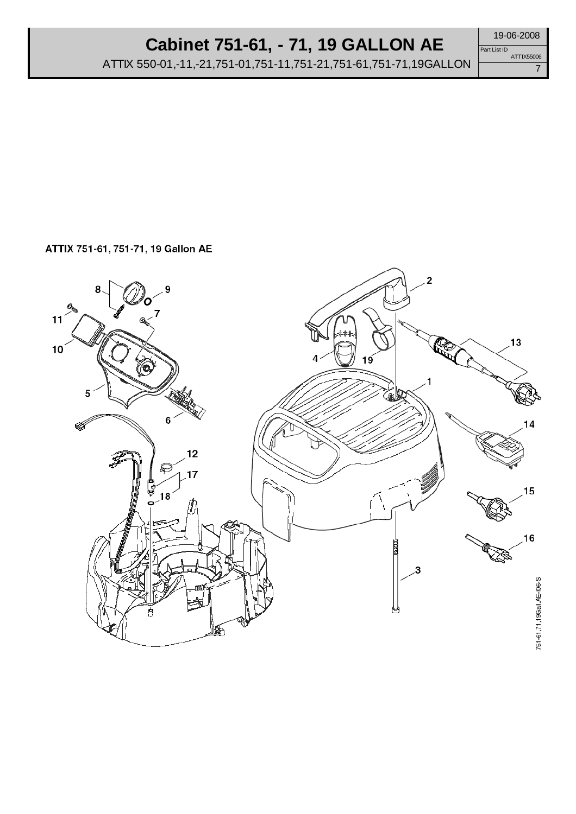## **Cabinet 751-61, - 71, 19 GALLON AE**

ATTIX 550-01,-11,-21,751-01,751-11,751-21,751-61,751-71,19GALLON

19-06-2008

7 Part List ID ATTIX55006

ATTIX 751-61, 751-71, 19 Gallon AE

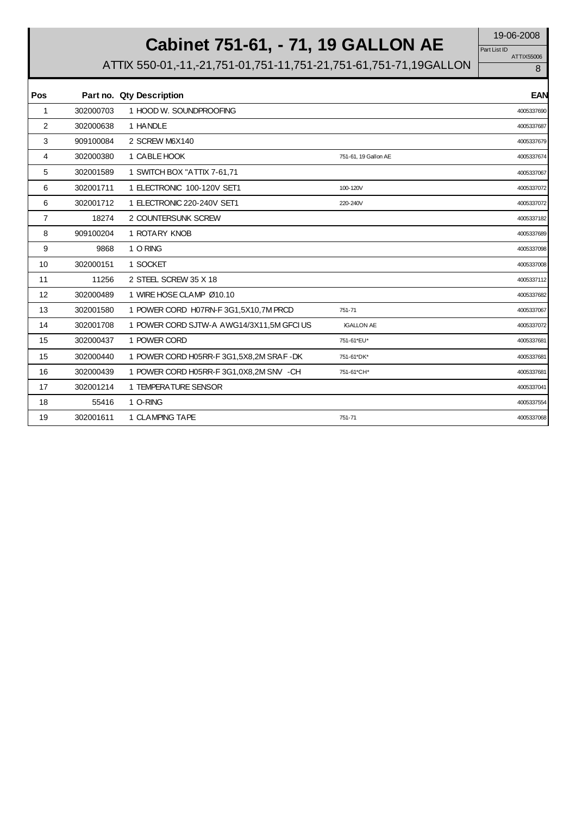# **Cabinet 751-61, - 71, 19 GALLON AE** 19-06-2008

ATTIX55006 Part List ID

| Pos         |           | Part no. Qty Description                  |                      | <b>EAN</b> |
|-------------|-----------|-------------------------------------------|----------------------|------------|
| $\mathbf 1$ | 302000703 | 1 HOOD W. SOUNDPROOFING                   |                      | 4005337690 |
| 2           | 302000638 | 1 HANDLE                                  |                      | 4005337687 |
| 3           | 909100084 | 2 SCREW M6X140                            |                      | 4005337679 |
| 4           | 302000380 | 1 CABLE HOOK                              | 751-61, 19 Gallon AE | 4005337674 |
| 5           | 302001589 | 1 SWITCH BOX "ATTIX 7-61,71               |                      | 4005337067 |
| 6           | 302001711 | 1 ELECTRONIC 100-120V SET1                | 100-120V             | 4005337072 |
| 6           | 302001712 | 1 ELECTRONIC 220-240V SET1                | 220-240V             | 4005337072 |
| 7           | 18274     | 2 COUNTERSUNK SCREW                       |                      | 4005337182 |
| 8           | 909100204 | 1 ROTARY KNOB                             |                      | 4005337689 |
| 9           | 9868      | 1 O RING                                  |                      | 4005337098 |
| 10          | 302000151 | 1 SOCKET                                  |                      | 4005337008 |
| 11          | 11256     | 2 STEEL SCREW 35 X 18                     |                      | 4005337112 |
| 12          | 302000489 | 1 WIRE HOSE CLAMP Ø10.10                  |                      | 4005337682 |
| 13          | 302001580 | 1 POWER CORD H07RN-F 3G1,5X10,7M PRCD     | 751-71               | 4005337067 |
| 14          | 302001708 | 1 POWER CORD SJTW-A AWG14/3X11,5M GFCI US | <b>JGALLON AE</b>    | 4005337072 |
| 15          | 302000437 | 1 POWER CORD                              | 751-61*EU*           | 4005337681 |
| 15          | 302000440 | 1 POWER CORD H05RR-F 3G1,5X8,2M SRAF-DK   | 751-61*DK*           | 4005337681 |
| 16          | 302000439 | 1 POWER CORD H05RR-F 3G1,0X8,2M SNV - CH  | 751-61*CH*           | 4005337681 |
| 17          | 302001214 | 1 TEMPERATURE SENSOR                      |                      | 4005337041 |
| 18          | 55416     | 1 O-RING                                  |                      | 4005337554 |
| 19          | 302001611 | 1 CLAMPING TAPE                           | 751-71               | 4005337068 |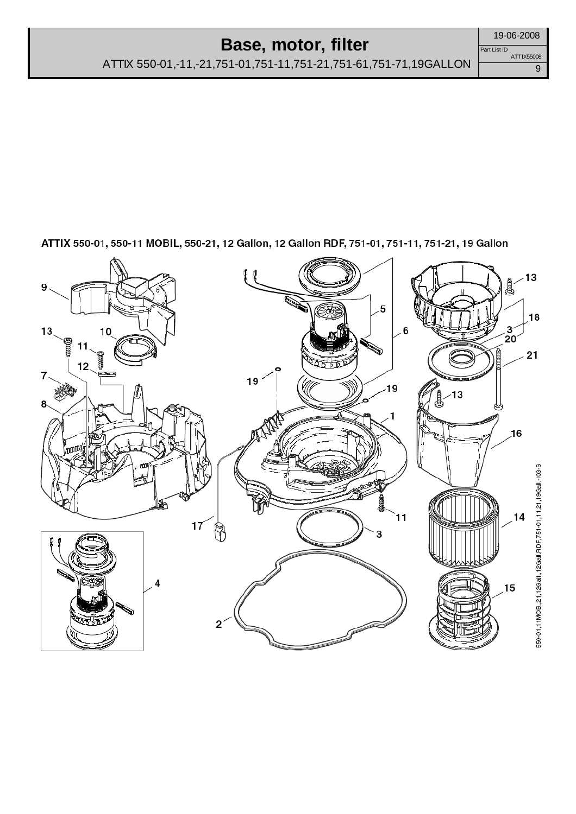#### **Base, motor, filter**

ATTIX 550-01,-11,-21,751-01,751-11,751-21,751-61,751-71,19GALLON

ATTIX 550-01, 550-11 MOBIL, 550-21, 12 Gallon, 12 Gallon RDF, 751-01, 751-11, 751-21, 19 Gallon



Part List ID

ATTIX55008

9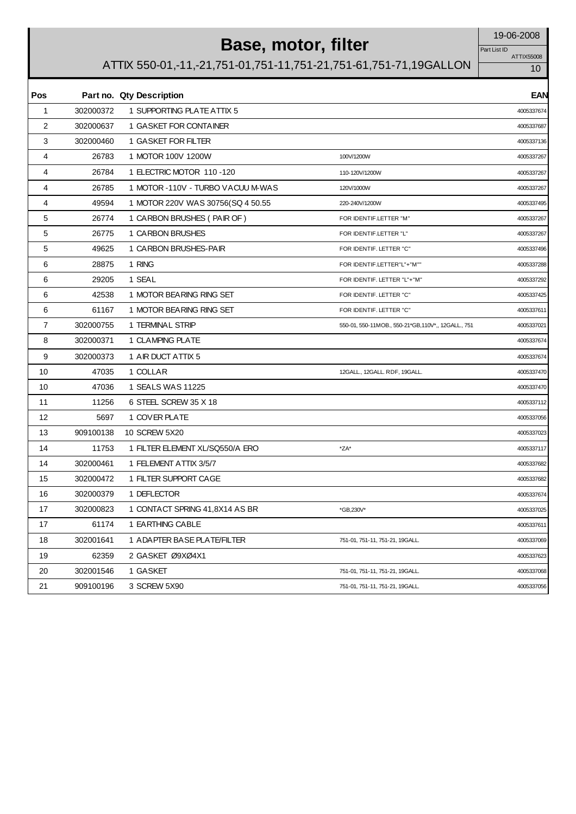# **Base, motor, filter** 19-06-2008

Part List ID

| ATTIX55008 |
|------------|
|            |

| Pos            |           | Part no. Qty Description           |                                                     | <b>EAN</b> |
|----------------|-----------|------------------------------------|-----------------------------------------------------|------------|
| $\mathbf{1}$   | 302000372 | 1 SUPPORTING PLATE ATTIX 5         |                                                     | 4005337674 |
| $\overline{2}$ | 302000637 | 1 GASKET FOR CONTAINER             |                                                     | 4005337687 |
| 3              | 302000460 | 1 GASKET FOR FILTER                |                                                     | 4005337136 |
| 4              | 26783     | 1 MOTOR 100V 1200W                 | 100V/1200W                                          | 4005337267 |
| 4              | 26784     | 1 ELECTRIC MOTOR 110-120           | 110-120V/1200W                                      | 4005337267 |
| 4              | 26785     | 1 MOTOR - 110V - TURBO VACUU M-WAS | 120V/1000W                                          | 4005337267 |
| 4              | 49594     | 1 MOTOR 220V WAS 30756(SQ 4 50.55  | 220-240V/1200W                                      | 4005337495 |
| 5              | 26774     | 1 CARBON BRUSHES (PAIR OF)         | FOR IDENTIF.LETTER "M"                              | 4005337267 |
| 5              | 26775     | 1 CARBON BRUSHES                   | FOR IDENTIF.LETTER "L"                              | 4005337267 |
| 5              | 49625     | 1 CARBON BRUSHES-PAIR              | FOR IDENTIF. LETTER "C"                             | 4005337496 |
| 6              | 28875     | 1 RING                             | FOR IDENTIF.LETTER"L"+"M""                          | 4005337288 |
| 6              | 29205     | 1 SEAL                             | FOR IDENTIF. LETTER "L"+"M"                         | 4005337292 |
| 6              | 42538     | 1 MOTOR BEARING RING SET           | FOR IDENTIF. LETTER "C"                             | 4005337425 |
| 6              | 61167     | 1 MOTOR BEARING RING SET           | FOR IDENTIF. LETTER "C"                             | 4005337611 |
| 7              | 302000755 | 1 TERMINAL STRIP                   | 550-01, 550-11MOB., 550-21*GB, 110V*,, 12GALL., 751 | 4005337021 |
| 8              | 302000371 | 1 CLAMPING PLATE                   |                                                     | 4005337674 |
| 9              | 302000373 | 1 AIR DUCT ATTIX 5                 |                                                     | 4005337674 |
| 10             | 47035     | 1 COLLAR                           | 12GALL., 12GALL. RDF, 19GALL.                       | 4005337470 |
| 10             | 47036     | 1 SEALS WAS 11225                  |                                                     | 4005337470 |
| 11             | 11256     | 6 STEEL SCREW 35 X 18              |                                                     | 4005337112 |
| 12             | 5697      | 1 COVER PLATE                      |                                                     | 4005337056 |
| 13             | 909100138 | 10 SCREW 5X20                      |                                                     | 4005337023 |
| 14             | 11753     | 1 FILTER ELEMENT XL/SQ550/A ERO    | $*ZA*$                                              | 4005337117 |
| 14             | 302000461 | 1 FELEMENT ATTIX 3/5/7             |                                                     | 4005337682 |
| 15             | 302000472 | 1 FILTER SUPPORT CAGE              |                                                     | 4005337682 |
| 16             | 302000379 | 1 DEFLECTOR                        |                                                     | 4005337674 |
| 17             | 302000823 | 1 CONTACT SPRING 41,8X14 AS BR     | *GB,230V*                                           | 4005337025 |
| 17             | 61174     | 1 EARTHING CABLE                   |                                                     | 4005337611 |
| 18             | 302001641 | 1 ADAPTER BASE PLATE/FILTER        | 751-01, 751-11, 751-21, 19GALL.                     | 4005337069 |
| 19             | 62359     | 2 GASKET Ø9XØ4X1                   |                                                     | 4005337623 |
| 20             | 302001546 | 1 GASKET                           | 751-01, 751-11, 751-21, 19GALL.                     | 4005337068 |
| 21             | 909100196 | 3 SCREW 5X90                       | 751-01, 751-11, 751-21, 19GALL.                     | 4005337056 |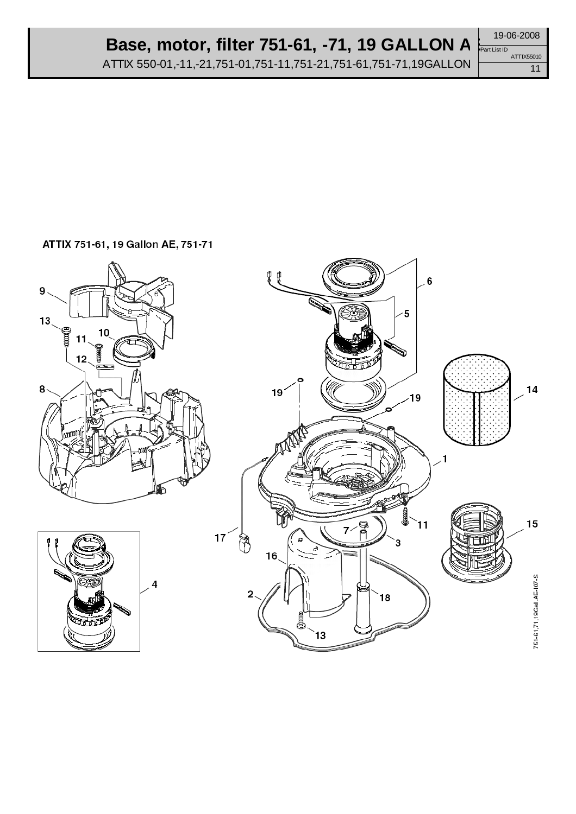# **Base, motor, filter 751-61, -71, 19 GALLON AE**

ATTIX 550-01,-11,-21,751-01,751-11,751-21,751-61,751-71,19GALLON

19-06-2008 Part List ID ATTIX55010

11

#### ATTIX 751-61, 19 Gallon AE, 751-71

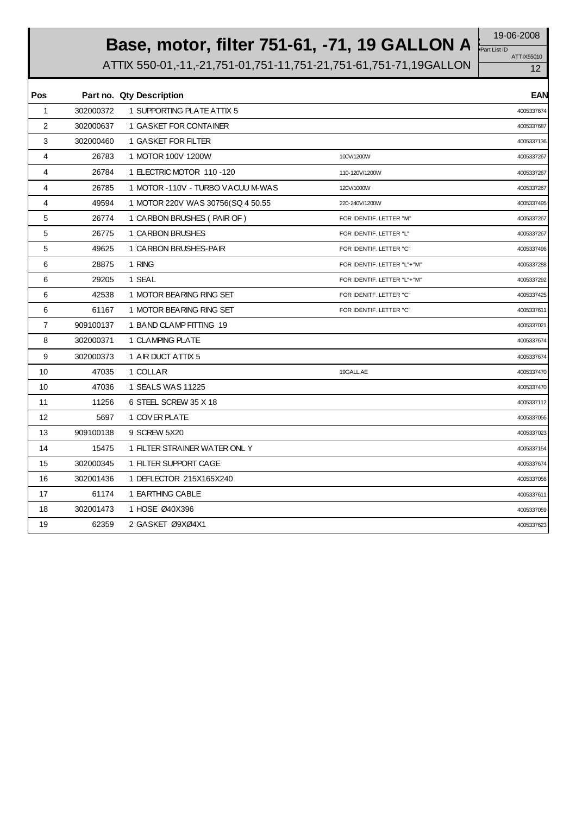# **Base, motor, filter 751-61, -71, 19 GALLON A**  $\frac{19-06-2008}{\sqrt{241 \text{ List ID}} }$

ATTIX 550-01,-11,-21,751-01,751-11,751-21,751-61,751-71,19GALLON

ATTIX55010 Part List ID

| Pos            |           | Part no. Qty Description           |                             | <b>EAN</b> |
|----------------|-----------|------------------------------------|-----------------------------|------------|
| $\mathbf{1}$   | 302000372 | 1 SUPPORTING PLATE ATTIX 5         |                             | 4005337674 |
| 2              | 302000637 | 1 GASKET FOR CONTAINER             |                             | 4005337687 |
| 3              | 302000460 | 1 GASKET FOR FILTER                |                             | 4005337136 |
| 4              | 26783     | 1 MOTOR 100V 1200W                 | 100V/1200W                  | 4005337267 |
| $\overline{4}$ | 26784     | 1 ELECTRIC MOTOR 110-120           | 110-120V/1200W              | 4005337267 |
| 4              | 26785     | 1 MOTOR - 110V - TURBO VACUU M-WAS | 120V/1000W                  | 4005337267 |
| 4              | 49594     | 1 MOTOR 220V WAS 30756(SQ 4 50.55  | 220-240V/1200W              | 4005337495 |
| 5              | 26774     | 1 CARBON BRUSHES (PAIR OF)         | FOR IDENTIF. LETTER "M"     | 4005337267 |
| 5              | 26775     | 1 CARBON BRUSHES                   | FOR IDENTIF. LETTER "L"     | 4005337267 |
| 5              | 49625     | 1 CARBON BRUSHES-PAIR              | FOR IDENTIF. LETTER "C"     | 4005337496 |
| 6              | 28875     | 1 RING                             | FOR IDENTIF. LETTER "L"+"M" | 4005337288 |
| 6              | 29205     | 1 SEAL                             | FOR IDENTIF. LETTER "L"+"M" | 4005337292 |
| 6              | 42538     | 1 MOTOR BEARING RING SET           | FOR IDENITF. LETTER "C"     | 4005337425 |
| 6              | 61167     | 1 MOTOR BEARING RING SET           | FOR IDENTIF. LETTER "C"     | 4005337611 |
| $\overline{7}$ | 909100137 | 1 BAND CLAMP FITTING 19            |                             | 4005337021 |
| 8              | 302000371 | 1 CLAMPING PLATE                   |                             | 4005337674 |
| 9              | 302000373 | 1 AIR DUCT ATTIX 5                 |                             | 4005337674 |
| 10             | 47035     | 1 COLLAR                           | 19GALL.AE                   | 4005337470 |
| 10             | 47036     | 1 SEALS WAS 11225                  |                             | 4005337470 |
| 11             | 11256     | 6 STEEL SCREW 35 X 18              |                             | 4005337112 |
| 12             | 5697      | 1 COVER PLATE                      |                             | 4005337056 |
| 13             | 909100138 | 9 SCREW 5X20                       |                             | 4005337023 |
| 14             | 15475     | 1 FILTER STRAINER WATER ONL Y      |                             | 4005337154 |
| 15             | 302000345 | 1 FILTER SUPPORT CAGE              |                             | 4005337674 |
| 16             | 302001436 | 1 DEFLECTOR 215X165X240            |                             | 4005337056 |
| 17             | 61174     | 1 EARTHING CABLE                   |                             | 4005337611 |
| 18             | 302001473 | 1 HOSE Ø40X396                     |                             | 4005337059 |
| 19             | 62359     | 2 GASKET Ø9XØ4X1                   |                             | 4005337623 |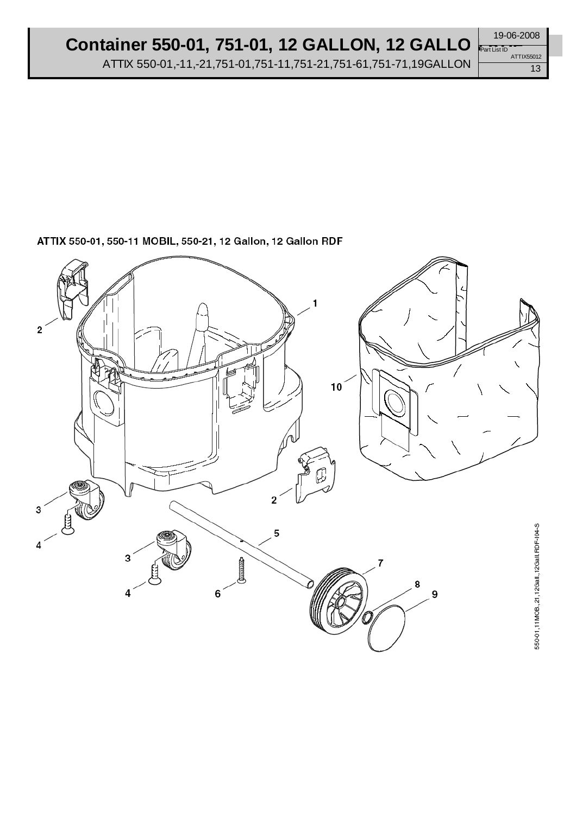#### Container 550-01, 751-01, 12 **GALLON, 12 GALLO**

ATTIX 550-01,-11,-21,751-01,751-11,751-21,751-61,751-71,19GALLON

ATTIX 550-01, 550-11 MOBIL, 550-21, 12 Gallon, 12 Gallon RDF



ATTIX55012

19-06-2008

Part List ID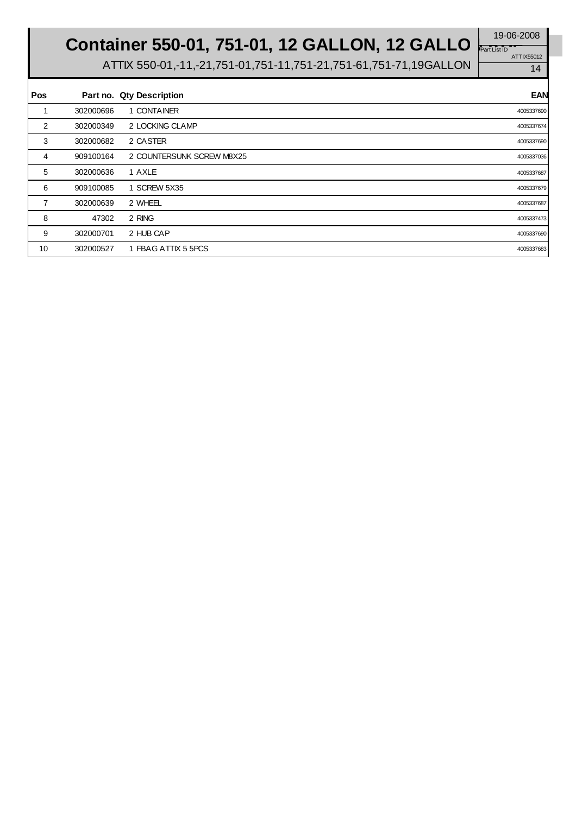**Container 550-01, 751-01, 12 GALLON, 12 GALLO** 

ATTIX55012 Part List **ID** 

| <b>Pos</b> |           | Part no. Qty Description  | <b>EAN</b> |
|------------|-----------|---------------------------|------------|
|            | 302000696 | 1 CONTAINER               | 4005337690 |
| 2          | 302000349 | 2 LOCKING CLAMP           | 4005337674 |
| 3          | 302000682 | 2 CASTER                  | 4005337690 |
| 4          | 909100164 | 2 COUNTERSUNK SCREW M8X25 | 4005337036 |
| 5          | 302000636 | 1 AXLE                    | 4005337687 |
| 6          | 909100085 | 1 SCREW 5X35              | 4005337679 |
| 7          | 302000639 | 2 WHEEL                   | 4005337687 |
| 8          | 47302     | 2 RING                    | 4005337473 |
| 9          | 302000701 | 2 HUB CAP                 | 4005337690 |
| 10         | 302000527 | 1 FBAG ATTIX 5 5PCS       | 4005337683 |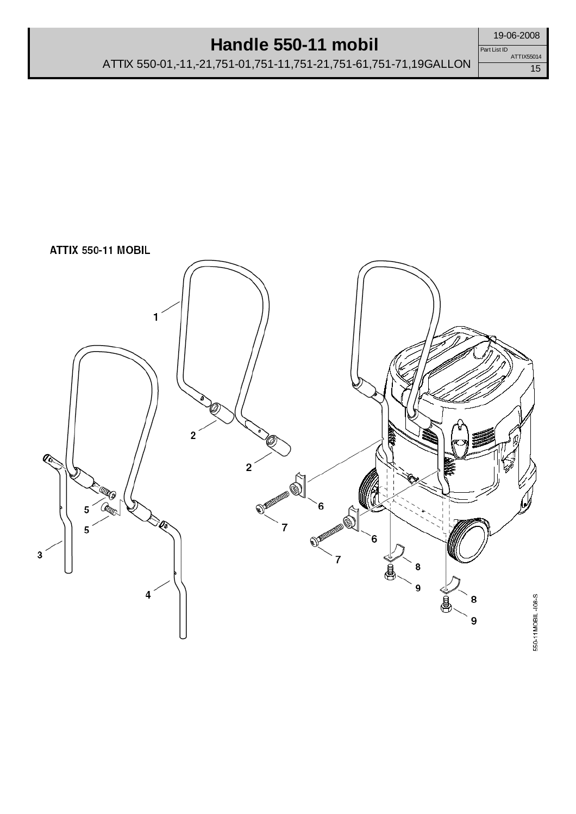## **Handle 550-11 mobil**

ATTIX 550-01,-11,-21,751-01,751-11,751-21,751-61,751-71,19GALLON



19-06-2008

15 Part List ID ATTIX55014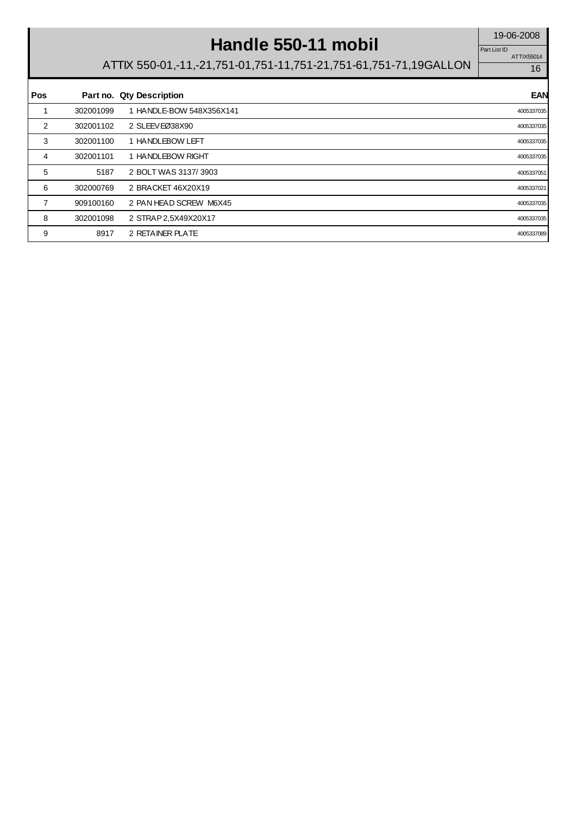# Handle 550-11 mobil

ATTIX55014 Part List ID

| Pos |           | Part no. Qty Description | <b>EAN</b> |
|-----|-----------|--------------------------|------------|
|     | 302001099 | 1 HANDLE-BOW 548X356X141 | 4005337035 |
| 2   | 302001102 | 2 SLEEVEØ38X90           | 4005337035 |
| 3   | 302001100 | 1 HANDLEBOW LEFT         | 4005337035 |
| 4   | 302001101 | 1 HANDLEBOW RIGHT        | 4005337035 |
| 5   | 5187      | 2 BOLT WAS 3137/3903     | 4005337051 |
| 6   | 302000769 | 2 BRACKET 46X20X19       | 4005337021 |
| 7   | 909100160 | 2 PAN HEAD SCREW M6X45   | 4005337035 |
| 8   | 302001098 | 2 STRAP 2,5X49X20X17     | 4005337035 |
| 9   | 8917      | 2 RETAINER PLATE         | 4005337089 |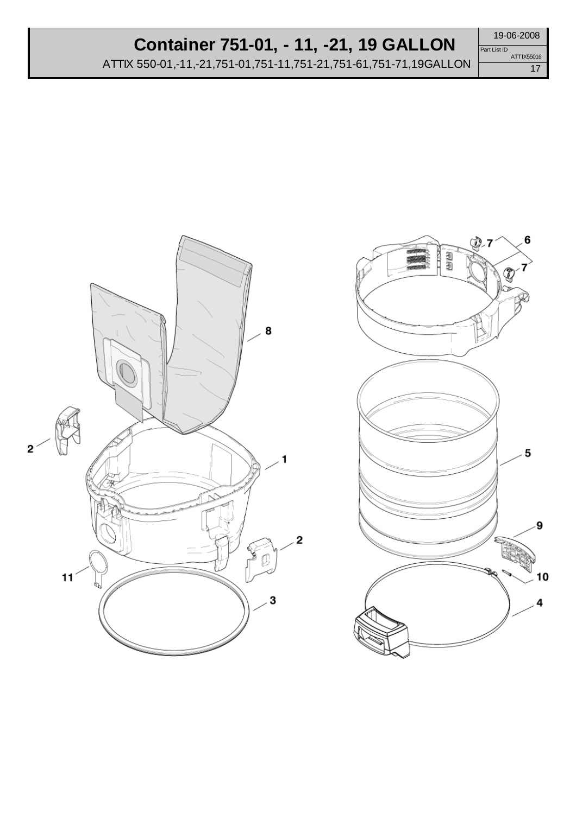ATTIX 550-01,-11,-21,751-01,751-11,751-21,751-61,751-71,19GALLON

17 Part List ID ATTIX55016



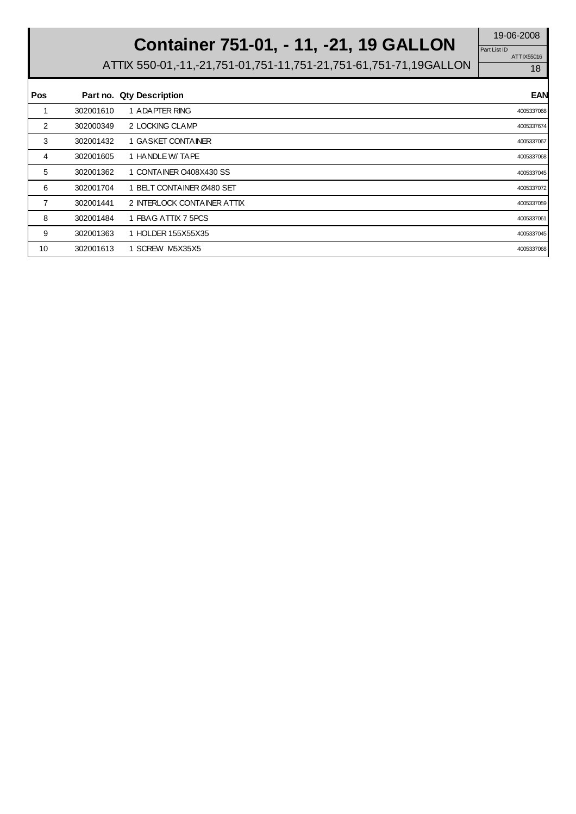Part List ID

ATTIX55016

# **Container 751-01, -11, -21, 19 GALLON** Part List ID **Partles**

| <b>Pos</b> |           | Part no. Qty Description    | <b>EAN</b> |
|------------|-----------|-----------------------------|------------|
|            | 302001610 | 1 ADAPTER RING              | 4005337068 |
| 2          | 302000349 | 2 LOCKING CLAMP             | 4005337674 |
| 3          | 302001432 | 1 GASKET CONTAINER          | 4005337067 |
| 4          | 302001605 | 1 HANDLE W/ TAPE            | 4005337068 |
| 5          | 302001362 | 1 CONTAINER O408X430 SS     | 4005337045 |
| 6          | 302001704 | 1 BELT CONTAINER Ø480 SET   | 4005337072 |
| 7          | 302001441 | 2 INTERLOCK CONTAINER ATTIX | 4005337059 |
| 8          | 302001484 | 1 FBAG ATTIX 7 5PCS         | 4005337061 |
| 9          | 302001363 | 1 HOLDER 155X55X35          | 4005337045 |
| 10         | 302001613 | 1 SCREW M5X35X5             | 4005337068 |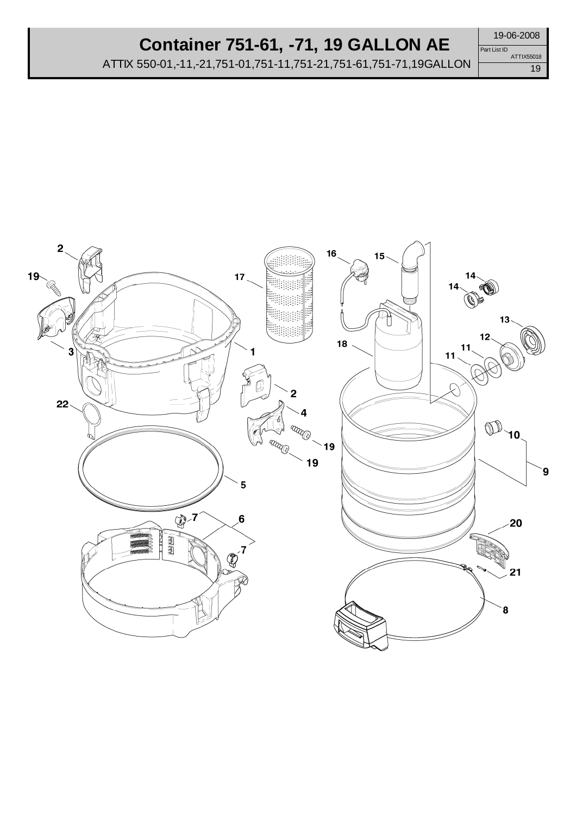## **Container 751-61, -71, 19 GALLON AE**

ATTIX 550-01,-11,-21,751-01,751-11,751-21,751-61,751-71,19GALLON

19-06-2008 Part List ID ATTIX55018



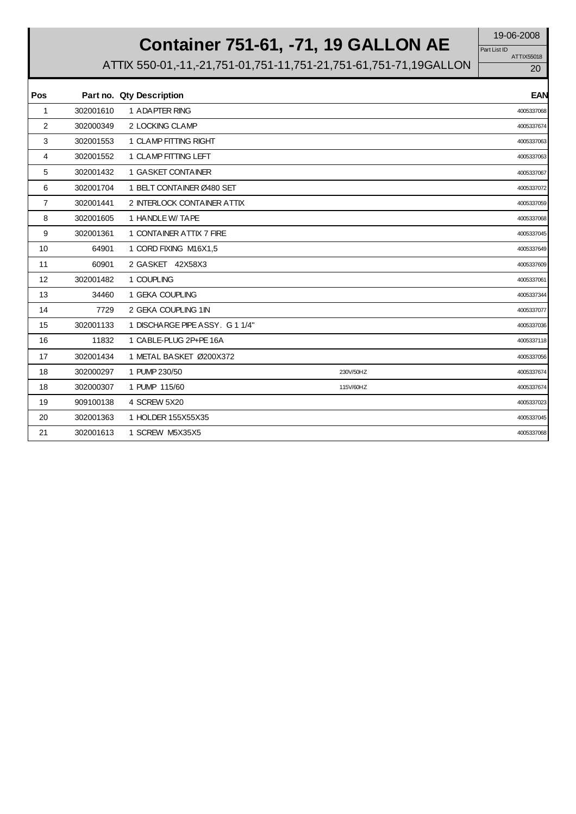# **Container 751-61, -71, 19 GALLON AE**

ATTIX55018 Part List ID

| Pos            |           | Part no. Qty Description      |           | <b>EAN</b> |
|----------------|-----------|-------------------------------|-----------|------------|
| 1              | 302001610 | 1 ADAPTER RING                |           | 4005337068 |
| 2              | 302000349 | 2 LOCKING CLAMP               |           | 4005337674 |
| 3              | 302001553 | 1 CLAMP FITTING RIGHT         |           | 4005337063 |
| 4              | 302001552 | 1 CLAMP FITTING LEFT          |           | 4005337063 |
| 5              | 302001432 | 1 GASKET CONTAINER            |           | 4005337067 |
| 6              | 302001704 | 1 BELT CONTAINER Ø480 SET     |           | 4005337072 |
| $\overline{7}$ | 302001441 | 2 INTERLOCK CONTAINER ATTIX   |           | 4005337059 |
| 8              | 302001605 | 1 HANDLE W/ TAPE              |           | 4005337068 |
| 9              | 302001361 | 1 CONTAINER ATTIX 7 FIRE      |           | 4005337045 |
| 10             | 64901     | 1 CORD FIXING M16X1,5         |           | 4005337649 |
| 11             | 60901     | 2 GASKET 42X58X3              |           | 4005337609 |
| 12             | 302001482 | 1 COUPLING                    |           | 4005337061 |
| 13             | 34460     | 1 GEKA COUPLING               |           | 4005337344 |
| 14             | 7729      | 2 GEKA COUPLING 1IN           |           | 4005337077 |
| 15             | 302001133 | 1 DISCHARGE PIPE ASSY, G11/4" |           | 4005337036 |
| 16             | 11832     | 1 CABLE-PLUG 2P+PE 16A        |           | 4005337118 |
| 17             | 302001434 | 1 METAL BASKET Ø200X372       |           | 4005337056 |
| 18             | 302000297 | 1 PUMP 230/50                 | 230V/50HZ | 4005337674 |
| 18             | 302000307 | 1 PUMP 115/60                 | 115V/60HZ | 4005337674 |
| 19             | 909100138 | 4 SCREW 5X20                  |           | 4005337023 |
| 20             | 302001363 | 1 HOLDER 155X55X35            |           | 4005337045 |
| 21             | 302001613 | 1 SCREW M5X35X5               |           | 4005337068 |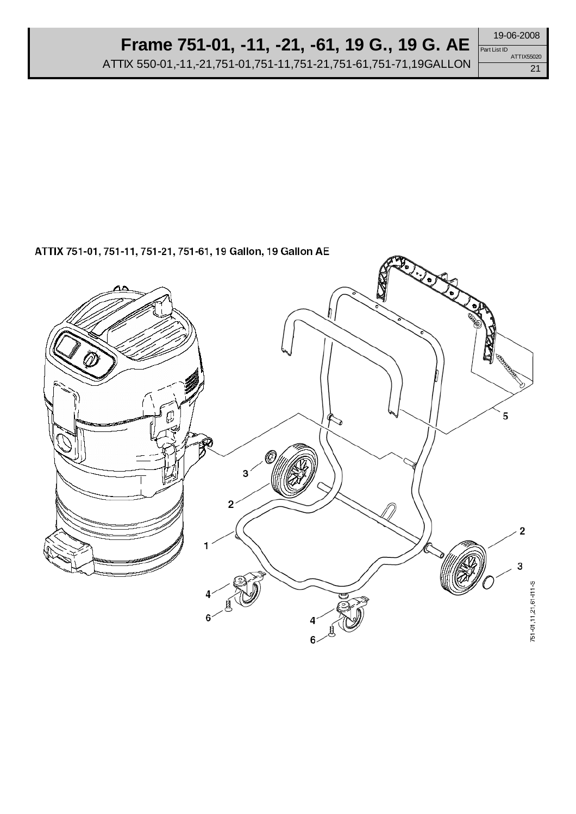# **Frame 751-01, -11, -21, -61, 19 G., 19 G. AE**

ATTIX 550-01,-11,-21,751-01,751-11,751-21,751-61,751-71,19GALLON

ATTIX 751-01, 751-11, 751-21, 751-61, 19 Gallon, 19 Gallon AE



19-06-2008 Part List ID

21

ATTIX55020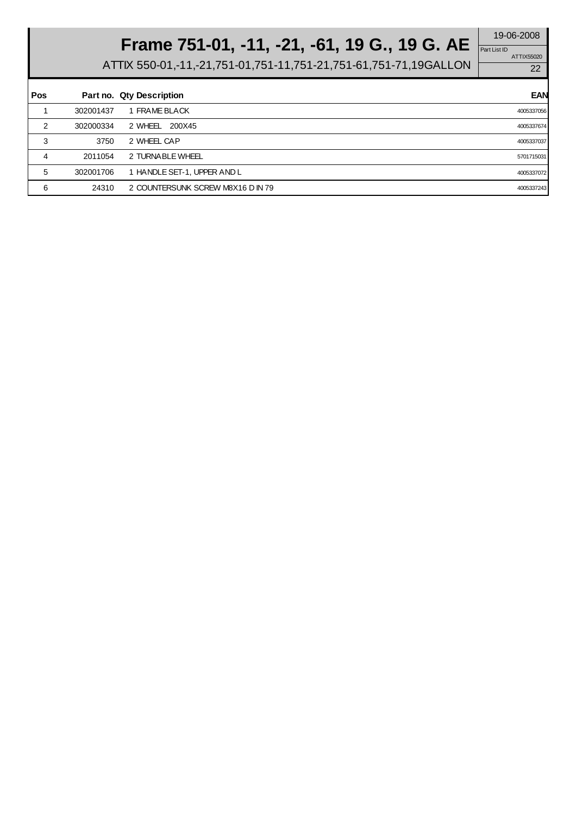# **Frame 751-01, -11, -21, -61, 19 G., 19 G. AE**  $\frac{19-06-2008}{PartListID}$

ATTIX55020 Part List ID

| Pos |           | Part no. Qty Description          | <b>EAN</b> |
|-----|-----------|-----------------------------------|------------|
|     | 302001437 | 1 FRAME BLACK                     | 4005337056 |
| 2   | 302000334 | 2 WHEEL 200X45                    | 4005337674 |
| 3   | 3750      | 2 WHEEL CAP                       | 4005337037 |
| 4   | 2011054   | 2 TURNABLE WHEEL                  | 5701715031 |
| 5   | 302001706 | 1 HANDLE SET-1, UPPER AND L       | 4005337072 |
| 6   | 24310     | 2 COUNTERSUNK SCREW M8X16 D IN 79 | 4005337243 |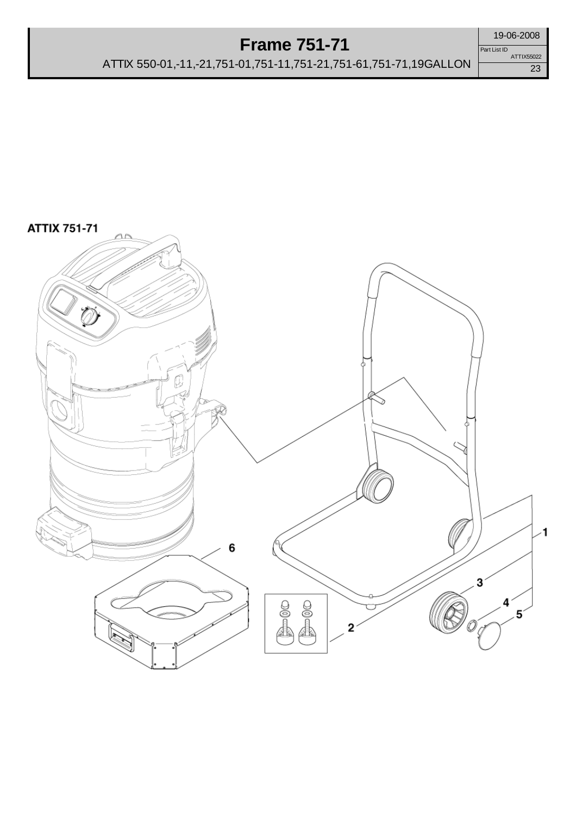## **Frame 751-71**



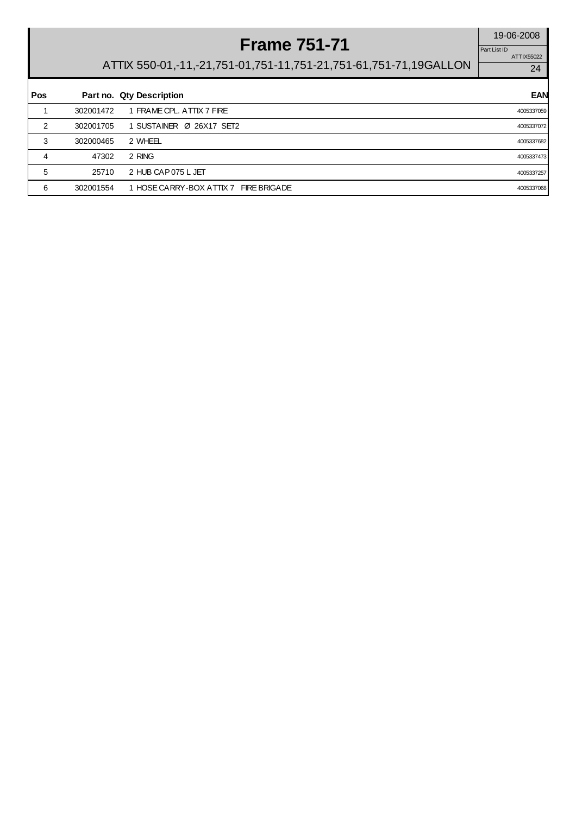# **Frame 751-71** 19-06-2008

ATTIX55022 Part List ID

| Pos |           | Part no. Qty Description              | <b>EAN</b> |
|-----|-----------|---------------------------------------|------------|
|     | 302001472 | 1 FRAME CPL, ATTIX 7 FIRE             | 4005337059 |
| 2   | 302001705 | 1 SUSTAINER Ø 26X17 SET2              | 4005337072 |
| 3   | 302000465 | 2 WHEEL                               | 4005337682 |
| 4   | 47302     | 2 RING                                | 4005337473 |
| 5   | 25710     | 2 HUB CAP 075 L JET                   | 4005337257 |
| 6   | 302001554 | 1 HOSE CARRY-BOX ATTIX 7 FIRE BRIGADE | 4005337068 |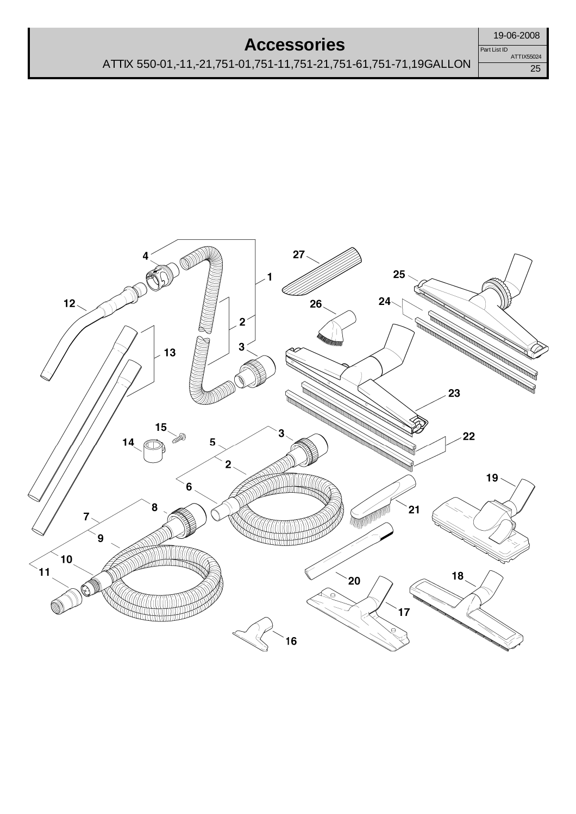#### **Accessories**

25 Part List ID ATTIX55024